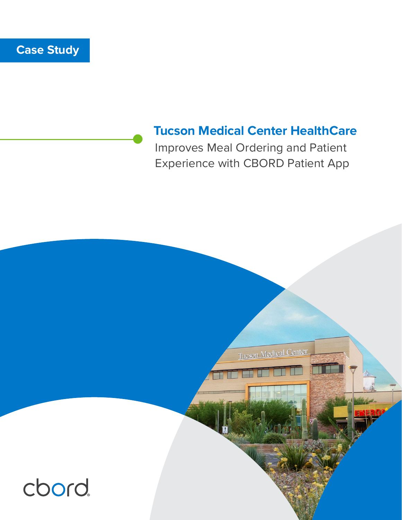## **Tucson Medical Center HealthCare**

Improves Meal Ordering and Patient Experience with CBORD Patient App

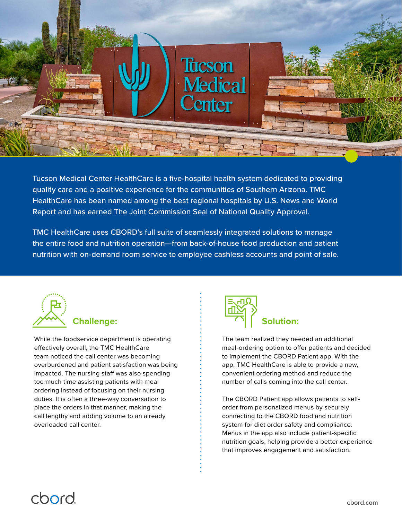

Tucson Medical Center HealthCare is a five-hospital health system dedicated to providing quality care and a positive experience for the communities of Southern Arizona. TMC HealthCare has been named among the best regional hospitals by U.S. News and World Report and has earned The Joint Commission Seal of National Quality Approval.

TMC HealthCare uses CBORD's full suite of seamlessly integrated solutions to manage the entire food and nutrition operation—from back-of-house food production and patient nutrition with on-demand room service to employee cashless accounts and point of sale.



While the foodservice department is operating effectively overall, the TMC HealthCare team noticed the call center was becoming overburdened and patient satisfaction was being impacted. The nursing staff was also spending too much time assisting patients with meal ordering instead of focusing on their nursing duties. It is often a three-way conversation to place the orders in that manner, making the call lengthy and adding volume to an already overloaded call center.



The team realized they needed an additional meal-ordering option to offer patients and decided to implement the CBORD Patient app. With the app, TMC HealthCare is able to provide a new, convenient ordering method and reduce the number of calls coming into the call center.

The CBORD Patient app allows patients to selforder from personalized menus by securely connecting to the CBORD food and nutrition system for diet order safety and compliance. Menus in the app also include patient-specific nutrition goals, helping provide a better experience that improves engagement and satisfaction.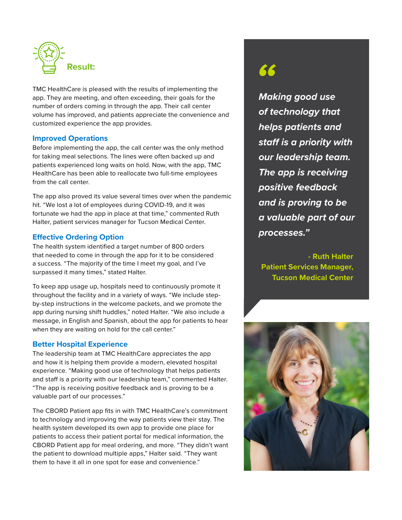

TMC HealthCare is pleased with the results of implementing the app. They are meeting, and often exceeding, their goals for the number of orders coming in through the app. Their call center volume has improved, and patients appreciate the convenience and customized experience the app provides.

#### **Improved Operations**

Before implementing the app, the call center was the only method for taking meal selections. The lines were often backed up and patients experienced long waits on hold. Now, with the app, TMC HealthCare has been able to reallocate two full-time employees from the call center.

The app also proved its value several times over when the pandemic hit. "We lost a lot of employees during COVID-19, and it was fortunate we had the app in place at that time," commented Ruth Halter, patient services manager for Tucson Medical Center.

#### **Effective Ordering Option**

The health system identified a target number of 800 orders that needed to come in through the app for it to be considered a success. "The majority of the time I meet my goal, and I've surpassed it many times," stated Halter.

To keep app usage up, hospitals need to continuously promote it throughout the facility and in a variety of ways. "We include stepby-step instructions in the welcome packets, and we promote the app during nursing shift huddles," noted Halter. "We also include a message, in English and Spanish, about the app for patients to hear when they are waiting on hold for the call center."

#### **Better Hospital Experience**

The leadership team at TMC HealthCare appreciates the app and how it is helping them provide a modern, elevated hospital experience. "Making good use of technology that helps patients and staff is a priority with our leadership team," commented Halter. "The app is receiving positive feedback and is proving to be a valuable part of our processes."

The CBORD Patient app fits in with TMC HealthCare's commitment to technology and improving the way patients view their stay. The health system developed its own app to provide one place for patients to access their patient portal for medical information, the CBORD Patient app for meal ordering, and more. "They didn't want the patient to download multiple apps," Halter said. "They want them to have it all in one spot for ease and convenience."

# 66

*Making good use of technology that helps patients and staff is a priority with our leadership team. The app is receiving positive feedback and is proving to be a valuable part of our processes."*

**- Ruth Halter Patient Services Manager, Tucson Medical Center**